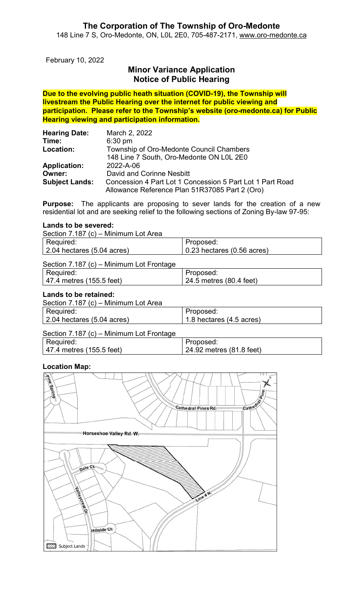## The Corporation of The Township of Oro-Medonte

148 Line 7 S, Oro-Medonte, ON, L0L 2E0, 705-487-2171, www.oro-medonte.ca

February 10, 2022

# Minor Variance Application Notice of Public Hearing

Due to the evolving public heath situation (COVID-19), the Township will livestream the Public Hearing over the internet for public viewing and participation. Please refer to the Township's website (oro-medonte.ca) for Public Hearing viewing and participation information.

| <b>Hearing Date:</b>  | March 2, 2022                                             |
|-----------------------|-----------------------------------------------------------|
| Time:                 | $6:30$ pm                                                 |
| Location:             | Township of Oro-Medonte Council Chambers                  |
|                       | 148 Line 7 South, Oro-Medonte ON L0L 2E0                  |
| <b>Application:</b>   | 2022-A-06                                                 |
| Owner:                | David and Corinne Nesbitt                                 |
| <b>Subject Lands:</b> | Concession 4 Part Lot 1 Concession 5 Part Lot 1 Part Road |
|                       | Allowance Reference Plan 51R37085 Part 2 (Oro)            |

Purpose: The applicants are proposing to sever lands for the creation of a new residential lot and are seeking relief to the following sections of Zoning By-law 97-95:

#### Lands to be severed:

Section 7.187 (c) – Minimum Lot Area

| Required:                          | Proposed:                          |
|------------------------------------|------------------------------------|
| $\vert$ 2.04 hectares (5.04 acres) | $\vert$ 0.23 hectares (0.56 acres) |
|                                    |                                    |

### Section 7.187 (c) – Minimum Lot Frontage

| Required:                | Proposed:               |
|--------------------------|-------------------------|
| 47.4 metres (155.5 feet) | 24.5 metres (80.4 feet) |

### Lands to be retained:

| Section 7.187 (c) - Minimum Lot Area |                          |
|--------------------------------------|--------------------------|
| Required:                            | Proposed:                |
| $\vert$ 2.04 hectares (5.04 acres)   | 1.8 hectares (4.5 acres) |

# Section 7.187 (c) – Minimum Lot Frontage

| Required:                | Proposed:                |
|--------------------------|--------------------------|
| 47.4 metres (155.5 feet) | 24.92 metres (81.8 feet) |

## Location Map:

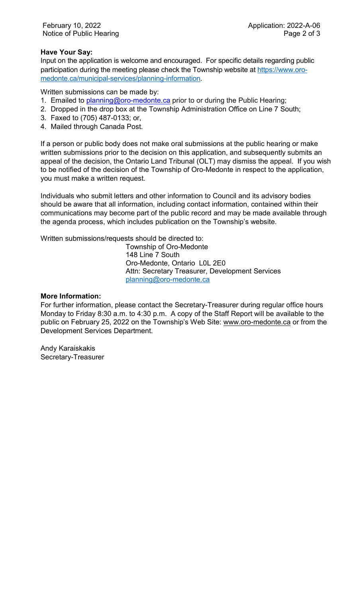## Have Your Say:

Input on the application is welcome and encouraged. For specific details regarding public participation during the meeting please check the Township website at https://www.oromedonte.ca/municipal-services/planning-information.

Written submissions can be made by:

- 1. Emailed to planning@oro-medonte.ca prior to or during the Public Hearing;
- 2. Dropped in the drop box at the Township Administration Office on Line 7 South;
- 3. Faxed to (705) 487-0133; or,
- 4. Mailed through Canada Post.

If a person or public body does not make oral submissions at the public hearing or make written submissions prior to the decision on this application, and subsequently submits an appeal of the decision, the Ontario Land Tribunal (OLT) may dismiss the appeal. If you wish to be notified of the decision of the Township of Oro-Medonte in respect to the application, you must make a written request.

Individuals who submit letters and other information to Council and its advisory bodies should be aware that all information, including contact information, contained within their communications may become part of the public record and may be made available through the agenda process, which includes publication on the Township's website.

Written submissions/requests should be directed to:

Township of Oro-Medonte 148 Line 7 South Oro-Medonte, Ontario L0L 2E0 Attn: Secretary Treasurer, Development Services planning@oro-medonte.ca

### More Information:

For further information, please contact the Secretary-Treasurer during regular office hours Monday to Friday 8:30 a.m. to 4:30 p.m. A copy of the Staff Report will be available to the public on February 25, 2022 on the Township's Web Site: www.oro-medonte.ca or from the Development Services Department.

Andy Karaiskakis Secretary-Treasurer